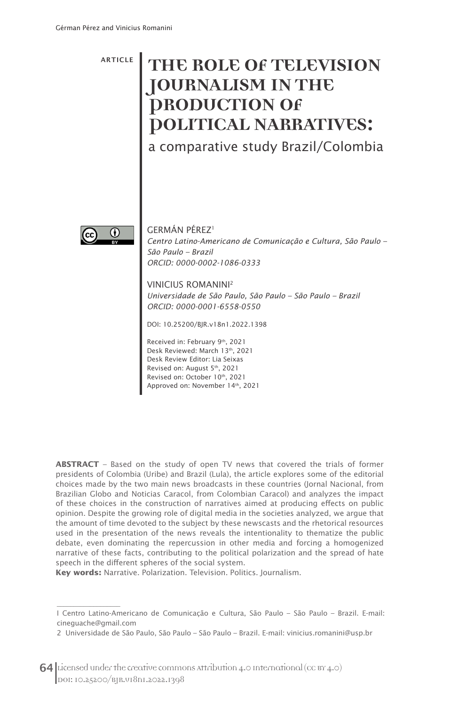ARTICLE

## **THE ROLE OF TELEVISION JOURNALISM IN THE PRODUCTION OF POLITICAL NARRATIVES:**

a comparative study Brazil/Colombia



 $\frac{1}{2}$  ,  $\frac{1}{2}$  ,  $\frac{1}{2}$  ,  $\frac{1}{2}$  ,  $\frac{1}{2}$  ,  $\frac{1}{2}$  ,  $\frac{1}{2}$  ,  $\frac{1}{2}$  ,  $\frac{1}{2}$  ,  $\frac{1}{2}$  ,  $\frac{1}{2}$  ,  $\frac{1}{2}$  ,  $\frac{1}{2}$  ,  $\frac{1}{2}$  ,  $\frac{1}{2}$  ,  $\frac{1}{2}$  ,  $\frac{1}{2}$  ,  $\frac{1}{2}$  ,  $\frac{1$ 

GERMÁN PÉREZ1 *Centro Latino-Americano de Comunicação e Cultura, São Paulo – São Paulo – Brazil ORCID: 0000-0002-1086-0333*

#### VINICIUS ROMANINI2

*Universidade de São Paulo, São Paulo – São Paulo – Brazil ORCID: 0000-0001-6558-0550*

DOI: 10.25200/BJR.v18n1.2022.1398

Received in: February 9th, 2021 Desk Reviewed: March 13th, 2021 Desk Review Editor: Lia Seixas Revised on: August 5th, 2021 Revised on: October 10th, 2021 Approved on: November 14th, 2021

**ABSTRACT** – Based on the study of open TV news that covered the trials of former presidents of Colombia (Uribe) and Brazil (Lula), the article explores some of the editorial choices made by the two main news broadcasts in these countries (Jornal Nacional, from Brazilian Globo and Noticias Caracol, from Colombian Caracol) and analyzes the impact of these choices in the construction of narratives aimed at producing effects on public opinion. Despite the growing role of digital media in the societies analyzed, we argue that the amount of time devoted to the subject by these newscasts and the rhetorical resources used in the presentation of the news reveals the intentionality to thematize the public debate, even dominating the repercussion in other media and forcing a homogenized narrative of these facts, contributing to the political polarization and the spread of hate speech in the different spheres of the social system.

**Key words:** Narrative. Polarization. Television. Politics. Journalism.

I Centro Latino-Americano de Comunicação e Cultura, São Paulo – São Paulo – Brazil. E-mail: cineguache@gmail.com

<sup>2</sup> Universidade de São Paulo, São Paulo – São Paulo – Brazil. E-mail: vinicius.romanini@usp.br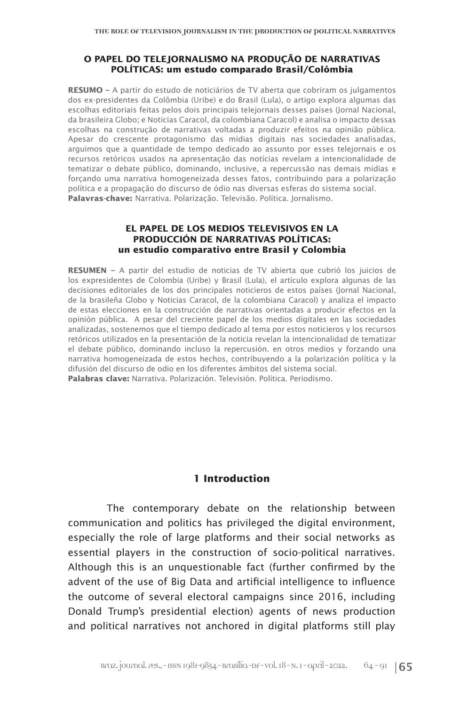#### **O PAPEL DO TELEJORNALISMO NA PRODUÇÃO DE NARRATIVAS POLÍTICAS: um estudo comparado Brasil/Colômbia**

**RESUMO –** A partir do estudo de noticiários de TV aberta que cobriram os julgamentos dos ex-presidentes da Colômbia (Uribe) e do Brasil (Lula), o artigo explora algumas das escolhas editoriais feitas pelos dois principais telejornais desses países (Jornal Nacional, da brasileira Globo; e Noticias Caracol, da colombiana Caracol) e analisa o impacto dessas escolhas na construção de narrativas voltadas a produzir efeitos na opinião pública. Apesar do crescente protagonismo das mídias digitais nas sociedades analisadas, arguimos que a quantidade de tempo dedicado ao assunto por esses telejornais e os recursos retóricos usados na apresentação das notícias revelam a intencionalidade de tematizar o debate público, dominando, inclusive, a repercussão nas demais mídias e forçando uma narrativa homogeneizada desses fatos, contribuindo para a polarização política e a propagação do discurso de ódio nas diversas esferas do sistema social. **Palavras-chave:** Narrativa. Polarização. Televisão. Política. Jornalismo.

#### **EL PAPEL DE LOS MEDIOS TELEVISIVOS EN LA PRODUCCIÓN DE NARRATIVAS POLÍTICAS: un estudio comparativo entre Brasil y Colombia**

**RESUMEN –** A partir del estudio de noticias de TV abierta que cubrió los juicios de los expresidentes de Colombia (Uribe) y Brasil (Lula), el artículo explora algunas de las decisiones editoriales de los dos principales noticieros de estos países (Jornal Nacional, de la brasileña Globo y Noticias Caracol, de la colombiana Caracol) y analiza el impacto de estas elecciones en la construcción de narrativas orientadas a producir efectos en la opinión pública. A pesar del creciente papel de los medios digitales en las sociedades analizadas, sostenemos que el tiempo dedicado al tema por estos noticieros y los recursos retóricos utilizados en la presentación de la noticia revelan la intencionalidad de tematizar el debate público, dominando incluso la repercusión. en otros medios y forzando una narrativa homogeneizada de estos hechos, contribuyendo a la polarización política y la difusión del discurso de odio en los diferentes ámbitos del sistema social. **Palabras clave:** Narrativa. Polarización. Televisión. Política. Periodismo.

#### **1 Introduction**

The contemporary debate on the relationship between communication and politics has privileged the digital environment, especially the role of large platforms and their social networks as essential players in the construction of socio-political narratives. Although this is an unquestionable fact (further confirmed by the advent of the use of Big Data and artificial intelligence to influence the outcome of several electoral campaigns since 2016, including Donald Trump's presidential election) agents of news production and political narratives not anchored in digital platforms still play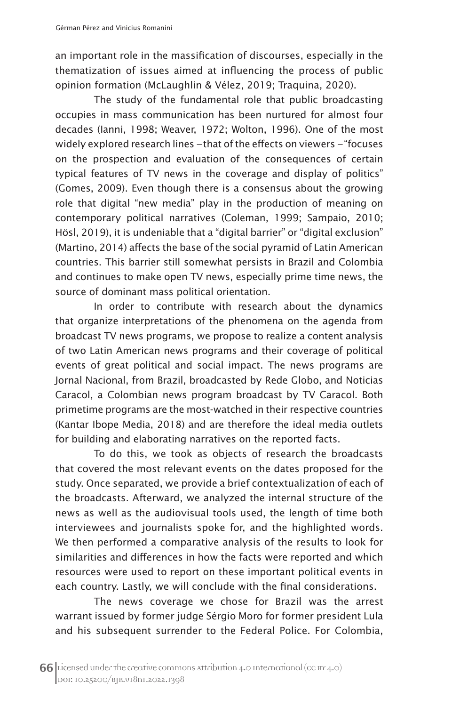an important role in the massification of discourses, especially in the thematization of issues aimed at influencing the process of public opinion formation (McLaughlin & Vélez, 2019; Traquina, 2020).

The study of the fundamental role that public broadcasting occupies in mass communication has been nurtured for almost four decades (Ianni, 1998; Weaver, 1972; Wolton, 1996). One of the most widely explored research lines *–* that of the effects on viewers *–* "focuses on the prospection and evaluation of the consequences of certain typical features of TV news in the coverage and display of politics" (Gomes, 2009). Even though there is a consensus about the growing role that digital "new media" play in the production of meaning on contemporary political narratives (Coleman, 1999; Sampaio, 2010; Hösl, 2019), it is undeniable that a "digital barrier" or "digital exclusion" (Martino, 2014) affects the base of the social pyramid of Latin American countries. This barrier still somewhat persists in Brazil and Colombia and continues to make open TV news, especially prime time news, the source of dominant mass political orientation.

In order to contribute with research about the dynamics that organize interpretations of the phenomena on the agenda from broadcast TV news programs, we propose to realize a content analysis of two Latin American news programs and their coverage of political events of great political and social impact. The news programs are Jornal Nacional, from Brazil, broadcasted by Rede Globo, and Noticias Caracol, a Colombian news program broadcast by TV Caracol. Both primetime programs are the most-watched in their respective countries (Kantar Ibope Media, 2018) and are therefore the ideal media outlets for building and elaborating narratives on the reported facts.

To do this, we took as objects of research the broadcasts that covered the most relevant events on the dates proposed for the study. Once separated, we provide a brief contextualization of each of the broadcasts. Afterward, we analyzed the internal structure of the news as well as the audiovisual tools used, the length of time both interviewees and journalists spoke for, and the highlighted words. We then performed a comparative analysis of the results to look for similarities and differences in how the facts were reported and which resources were used to report on these important political events in each country. Lastly, we will conclude with the final considerations.

The news coverage we chose for Brazil was the arrest warrant issued by former judge Sérgio Moro for former president Lula and his subsequent surrender to the Federal Police. For Colombia,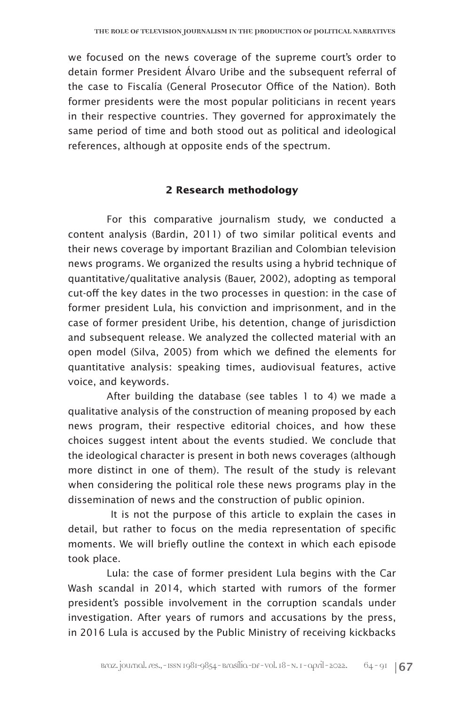we focused on the news coverage of the supreme court's order to detain former President Álvaro Uribe and the subsequent referral of the case to Fiscalía (General Prosecutor Office of the Nation). Both former presidents were the most popular politicians in recent years in their respective countries. They governed for approximately the same period of time and both stood out as political and ideological references, although at opposite ends of the spectrum.

#### **2 Research methodology**

For this comparative journalism study, we conducted a content analysis (Bardin, 2011) of two similar political events and their news coverage by important Brazilian and Colombian television news programs. We organized the results using a hybrid technique of quantitative/qualitative analysis (Bauer, 2002), adopting as temporal cut-off the key dates in the two processes in question: in the case of former president Lula, his conviction and imprisonment, and in the case of former president Uribe, his detention, change of jurisdiction and subsequent release. We analyzed the collected material with an open model (Silva, 2005) from which we defined the elements for quantitative analysis: speaking times, audiovisual features, active voice, and keywords.

After building the database (see tables 1 to 4) we made a qualitative analysis of the construction of meaning proposed by each news program, their respective editorial choices, and how these choices suggest intent about the events studied. We conclude that the ideological character is present in both news coverages (although more distinct in one of them). The result of the study is relevant when considering the political role these news programs play in the dissemination of news and the construction of public opinion.

 It is not the purpose of this article to explain the cases in detail, but rather to focus on the media representation of specific moments. We will briefly outline the context in which each episode took place.

Lula: the case of former president Lula begins with the Car Wash scandal in 2014, which started with rumors of the former president's possible involvement in the corruption scandals under investigation. After years of rumors and accusations by the press, in 2016 Lula is accused by the Public Ministry of receiving kickbacks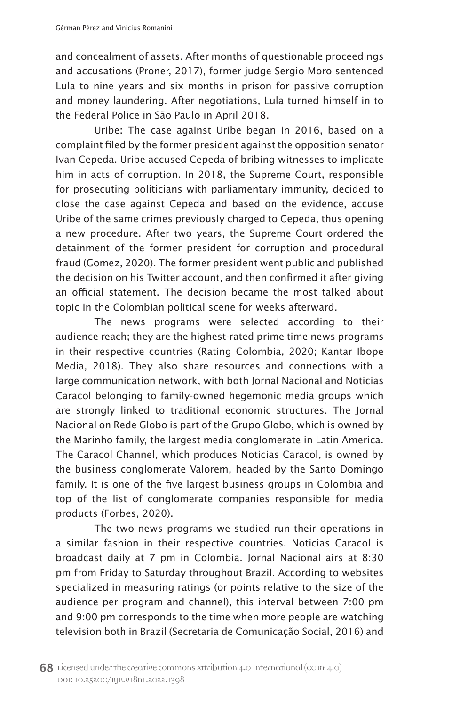and concealment of assets. After months of questionable proceedings and accusations (Proner, 2017), former judge Sergio Moro sentenced Lula to nine years and six months in prison for passive corruption and money laundering. After negotiations, Lula turned himself in to the Federal Police in São Paulo in April 2018.

Uribe: The case against Uribe began in 2016, based on a complaint filed by the former president against the opposition senator Ivan Cepeda. Uribe accused Cepeda of bribing witnesses to implicate him in acts of corruption. In 2018, the Supreme Court, responsible for prosecuting politicians with parliamentary immunity, decided to close the case against Cepeda and based on the evidence, accuse Uribe of the same crimes previously charged to Cepeda, thus opening a new procedure. After two years, the Supreme Court ordered the detainment of the former president for corruption and procedural fraud (Gomez, 2020). The former president went public and published the decision on his Twitter account, and then confirmed it after giving an official statement. The decision became the most talked about topic in the Colombian political scene for weeks afterward.

The news programs were selected according to their audience reach; they are the highest-rated prime time news programs in their respective countries (Rating Colombia, 2020; Kantar Ibope Media, 2018). They also share resources and connections with a large communication network, with both Jornal Nacional and Noticias Caracol belonging to family-owned hegemonic media groups which are strongly linked to traditional economic structures. The Jornal Nacional on Rede Globo is part of the Grupo Globo, which is owned by the Marinho family, the largest media conglomerate in Latin America. The Caracol Channel, which produces Noticias Caracol, is owned by the business conglomerate Valorem, headed by the Santo Domingo family. It is one of the five largest business groups in Colombia and top of the list of conglomerate companies responsible for media products (Forbes, 2020).

The two news programs we studied run their operations in a similar fashion in their respective countries. Noticias Caracol is broadcast daily at 7 pm in Colombia. Jornal Nacional airs at 8:30 pm from Friday to Saturday throughout Brazil. According to websites specialized in measuring ratings (or points relative to the size of the audience per program and channel), this interval between 7:00 pm and 9:00 pm corresponds to the time when more people are watching television both in Brazil (Secretaria de Comunicação Social, 2016) and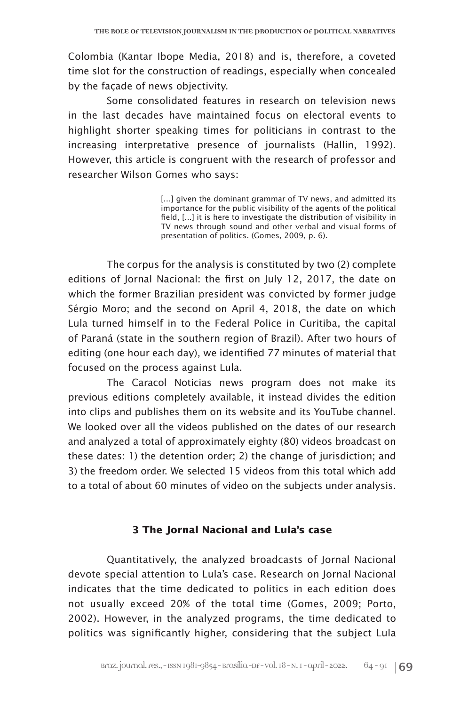Colombia (Kantar Ibope Media, 2018) and is, therefore, a coveted time slot for the construction of readings, especially when concealed by the façade of news objectivity.

Some consolidated features in research on television news in the last decades have maintained focus on electoral events to highlight shorter speaking times for politicians in contrast to the increasing interpretative presence of journalists (Hallin, 1992). However, this article is congruent with the research of professor and researcher Wilson Gomes who says:

> [...] given the dominant grammar of TV news, and admitted its importance for the public visibility of the agents of the political field, [...] it is here to investigate the distribution of visibility in TV news through sound and other verbal and visual forms of presentation of politics. (Gomes, 2009, p. 6).

The corpus for the analysis is constituted by two (2) complete editions of Jornal Nacional: the first on July 12, 2017, the date on which the former Brazilian president was convicted by former judge Sérgio Moro; and the second on April 4, 2018, the date on which Lula turned himself in to the Federal Police in Curitiba, the capital of Paraná (state in the southern region of Brazil). After two hours of editing (one hour each day), we identified 77 minutes of material that focused on the process against Lula.

The Caracol Noticias news program does not make its previous editions completely available, it instead divides the edition into clips and publishes them on its website and its YouTube channel. We looked over all the videos published on the dates of our research and analyzed a total of approximately eighty (80) videos broadcast on these dates: 1) the detention order; 2) the change of jurisdiction; and 3) the freedom order. We selected 15 videos from this total which add to a total of about 60 minutes of video on the subjects under analysis.

#### **3 The Jornal Nacional and Lula's case**

Quantitatively, the analyzed broadcasts of Jornal Nacional devote special attention to Lula's case. Research on Jornal Nacional indicates that the time dedicated to politics in each edition does not usually exceed 20% of the total time (Gomes, 2009; Porto, 2002). However, in the analyzed programs, the time dedicated to politics was significantly higher, considering that the subject Lula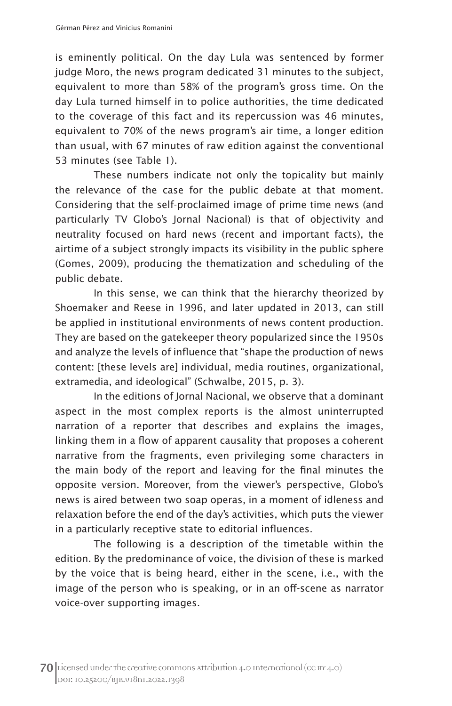is eminently political. On the day Lula was sentenced by former judge Moro, the news program dedicated 31 minutes to the subject, equivalent to more than 58% of the program's gross time. On the day Lula turned himself in to police authorities, the time dedicated to the coverage of this fact and its repercussion was 46 minutes, equivalent to 70% of the news program's air time, a longer edition than usual, with 67 minutes of raw edition against the conventional 53 minutes (see Table 1).

These numbers indicate not only the topicality but mainly the relevance of the case for the public debate at that moment. Considering that the self-proclaimed image of prime time news (and particularly TV Globo's Jornal Nacional) is that of objectivity and neutrality focused on hard news (recent and important facts), the airtime of a subject strongly impacts its visibility in the public sphere (Gomes, 2009), producing the thematization and scheduling of the public debate.

In this sense, we can think that the hierarchy theorized by Shoemaker and Reese in 1996, and later updated in 2013, can still be applied in institutional environments of news content production. They are based on the gatekeeper theory popularized since the 1950s and analyze the levels of influence that "shape the production of news content: [these levels are] individual, media routines, organizational, extramedia, and ideological" (Schwalbe, 2015, p. 3).

In the editions of Jornal Nacional, we observe that a dominant aspect in the most complex reports is the almost uninterrupted narration of a reporter that describes and explains the images, linking them in a flow of apparent causality that proposes a coherent narrative from the fragments, even privileging some characters in the main body of the report and leaving for the final minutes the opposite version. Moreover, from the viewer's perspective, Globo's news is aired between two soap operas, in a moment of idleness and relaxation before the end of the day's activities, which puts the viewer in a particularly receptive state to editorial influences.

The following is a description of the timetable within the edition. By the predominance of voice, the division of these is marked by the voice that is being heard, either in the scene, i.e., with the image of the person who is speaking, or in an off-scene as narrator voice-over supporting images.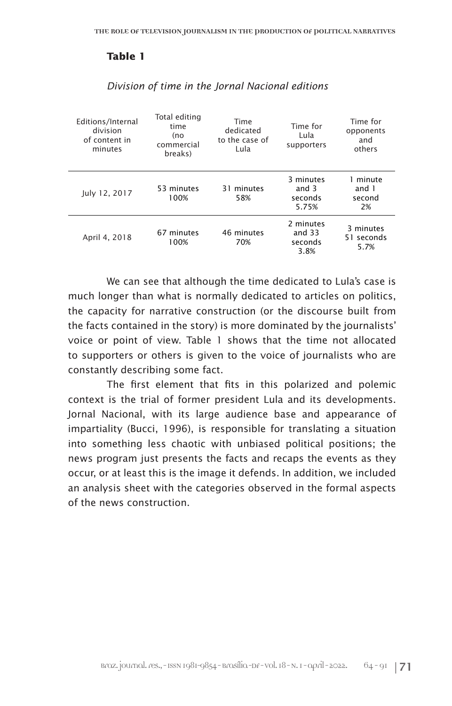#### **Table 1**

| Editions/Internal<br>division<br>of content in<br>minutes | Total editing<br>time<br>(no<br>commercial<br>breaks) | Time<br>dedicated<br>to the case of<br>Lula | Time for<br>Lula<br>supporters           | Time for<br>opponents<br>and<br>others |
|-----------------------------------------------------------|-------------------------------------------------------|---------------------------------------------|------------------------------------------|----------------------------------------|
| July 12, 2017                                             | 53 minutes<br>100%                                    | 31 minutes<br>58%                           | 3 minutes<br>and $3$<br>seconds<br>5.75% | 1 minute<br>and 1<br>second<br>2%      |
| April 4, 2018                                             | 67 minutes<br>100%                                    | 46 minutes<br>70%                           | 2 minutes<br>and $33$<br>seconds<br>3.8% | 3 minutes<br>51 seconds<br>5.7%        |

#### *Division of time in the Jornal Nacional editions*

We can see that although the time dedicated to Lula's case is much longer than what is normally dedicated to articles on politics, the capacity for narrative construction (or the discourse built from the facts contained in the story) is more dominated by the journalists' voice or point of view. Table 1 shows that the time not allocated to supporters or others is given to the voice of journalists who are constantly describing some fact.

The first element that fits in this polarized and polemic context is the trial of former president Lula and its developments. Jornal Nacional, with its large audience base and appearance of impartiality (Bucci, 1996), is responsible for translating a situation into something less chaotic with unbiased political positions; the news program just presents the facts and recaps the events as they occur, or at least this is the image it defends. In addition, we included an analysis sheet with the categories observed in the formal aspects of the news construction.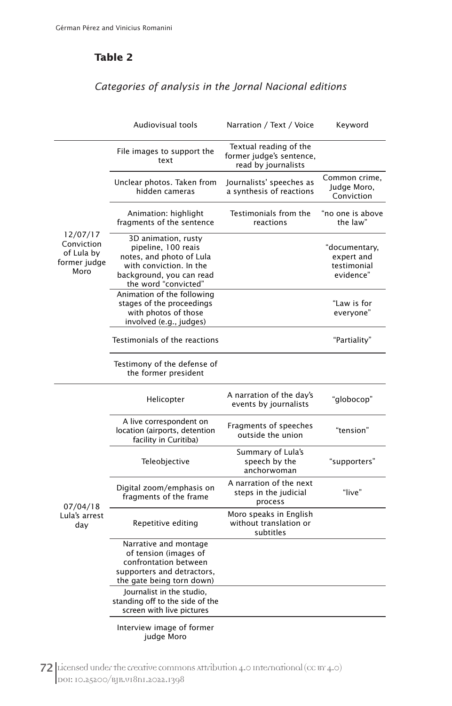## **Table 2**

## *Categories of analysis in the Jornal Nacional editions*

|                                                              | Audiovisual tools                                                                                                                                     | Narration / Text / Voice                                                  | Keyword                                                 |
|--------------------------------------------------------------|-------------------------------------------------------------------------------------------------------------------------------------------------------|---------------------------------------------------------------------------|---------------------------------------------------------|
| 12/07/17<br>Conviction<br>of Lula by<br>former judge<br>Moro | File images to support the<br>text                                                                                                                    | Textual reading of the<br>former judge's sentence,<br>read by journalists |                                                         |
|                                                              | Unclear photos. Taken from<br>hidden cameras                                                                                                          | Journalists' speeches as<br>a synthesis of reactions                      | Common crime,<br>Judge Moro,<br>Conviction              |
|                                                              | Animation: highlight<br>fragments of the sentence                                                                                                     | Testimonials from the<br>reactions                                        | "no one is above<br>the law"                            |
|                                                              | 3D animation, rusty<br>pipeline, 100 reais<br>notes, and photo of Lula<br>with conviction. In the<br>background, you can read<br>the word "convicted" |                                                                           | "documentary,<br>expert and<br>testimonial<br>evidence" |
|                                                              | Animation of the following<br>stages of the proceedings<br>with photos of those<br>involved (e.g., judges)                                            |                                                                           | "Law is for<br>everyone"                                |
|                                                              | Testimonials of the reactions                                                                                                                         |                                                                           | "Partiality"                                            |
|                                                              | Testimony of the defense of<br>the former president                                                                                                   |                                                                           |                                                         |
| 07/04/18<br>Lula's arrest<br>day                             | Helicopter                                                                                                                                            | A narration of the day's<br>events by journalists                         | "globocop"                                              |
|                                                              | A live correspondent on<br>location (airports, detention<br>facility in Curitiba)                                                                     | Fragments of speeches<br>outside the union                                | "tension"                                               |
|                                                              | Teleobjective                                                                                                                                         | Summary of Lula's<br>speech by the<br>anchorwoman                         | "supporters"                                            |
|                                                              | Digital zoom/emphasis on<br>fragments of the frame                                                                                                    | A narration of the next<br>steps in the judicial<br>process               | "live"                                                  |
|                                                              | Repetitive editing                                                                                                                                    | Moro speaks in English<br>without translation or<br>subtitles             |                                                         |
|                                                              | Narrative and montage<br>of tension (images of<br>confrontation between<br>supporters and detractors,<br>the gate being torn down)                    |                                                                           |                                                         |
|                                                              | Journalist in the studio,<br>standing off to the side of the<br>screen with live pictures                                                             |                                                                           |                                                         |
|                                                              | Interview image of former<br>judge Moro                                                                                                               |                                                                           |                                                         |

72 Licensed under the creative commons Attribution 4.0 International (CC BY 4.0) DOI: 10.25200/BJR.v18n1.2022.1398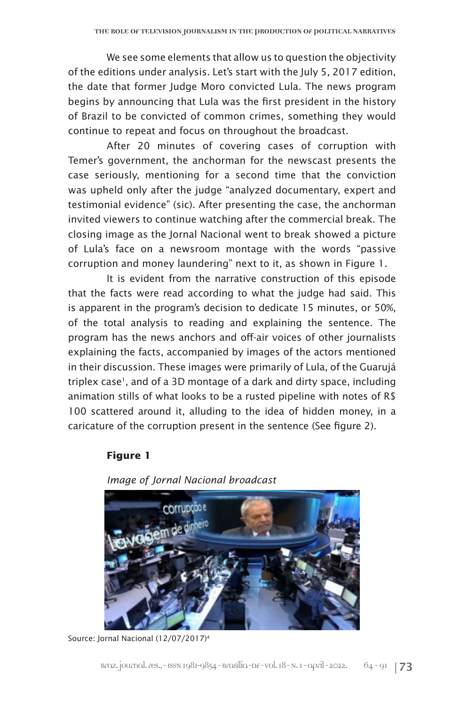We see some elements that allow us to question the objectivity of the editions under analysis. Let's start with the July 5, 2017 edition, the date that former Judge Moro convicted Lula. The news program begins by announcing that Lula was the first president in the history of Brazil to be convicted of common crimes, something they would continue to repeat and focus on throughout the broadcast.

After 20 minutes of covering cases of corruption with Temer's government, the anchorman for the newscast presents the case seriously, mentioning for a second time that the conviction was upheld only after the judge "analyzed documentary, expert and testimonial evidence" (sic). After presenting the case, the anchorman invited viewers to continue watching after the commercial break. The closing image as the Jornal Nacional went to break showed a picture of Lula's face on a newsroom montage with the words "passive corruption and money laundering" next to it, as shown in Figure 1.

It is evident from the narrative construction of this episode that the facts were read according to what the judge had said. This is apparent in the program's decision to dedicate 15 minutes, or 50%, of the total analysis to reading and explaining the sentence. The program has the news anchors and off-air voices of other journalists explaining the facts, accompanied by images of the actors mentioned in their discussion. These images were primarily of Lula, of the Guarujá triplex case<sup>1</sup>, and of a 3D montage of a dark and dirty space, including animation stills of what looks to be a rusted pipeline with notes of R\$ 100 scattered around it, alluding to the idea of hidden money, in a caricature of the corruption present in the sentence (See figure 2).

#### **Figure 1**



*Image of Jornal Nacional broadcast*

Source: Jornal Nacional (12/07/2017)4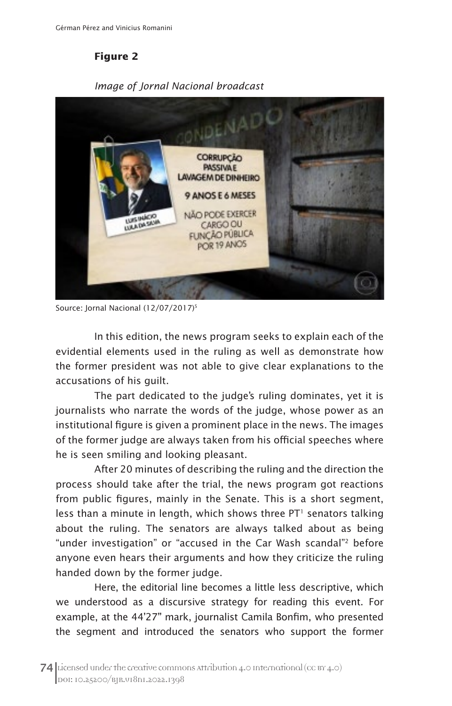**Figure 2** 



*Image of Jornal Nacional broadcast*

Source: Jornal Nacional (12/07/2017)<sup>5</sup>

In this edition, the news program seeks to explain each of the evidential elements used in the ruling as well as demonstrate how the former president was not able to give clear explanations to the accusations of his guilt.

The part dedicated to the judge's ruling dominates, yet it is journalists who narrate the words of the judge, whose power as an institutional figure is given a prominent place in the news. The images of the former judge are always taken from his official speeches where he is seen smiling and looking pleasant.

After 20 minutes of describing the ruling and the direction the process should take after the trial, the news program got reactions from public figures, mainly in the Senate. This is a short segment, less than a minute in length, which shows three  $PT<sup>1</sup>$  senators talking about the ruling. The senators are always talked about as being "under investigation" or "accused in the Car Wash scandal"2 before anyone even hears their arguments and how they criticize the ruling handed down by the former judge.

Here, the editorial line becomes a little less descriptive, which we understood as a discursive strategy for reading this event. For example, at the 44'27'' mark, journalist Camila Bonfim, who presented the segment and introduced the senators who support the former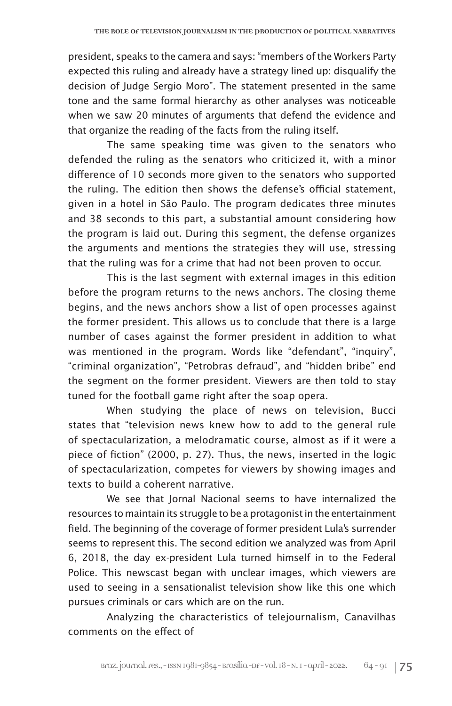president, speaks to the camera and says: "members of the Workers Party expected this ruling and already have a strategy lined up: disqualify the decision of Judge Sergio Moro". The statement presented in the same tone and the same formal hierarchy as other analyses was noticeable when we saw 20 minutes of arguments that defend the evidence and that organize the reading of the facts from the ruling itself.

The same speaking time was given to the senators who defended the ruling as the senators who criticized it, with a minor difference of 10 seconds more given to the senators who supported the ruling. The edition then shows the defense's official statement, given in a hotel in São Paulo. The program dedicates three minutes and 38 seconds to this part, a substantial amount considering how the program is laid out. During this segment, the defense organizes the arguments and mentions the strategies they will use, stressing that the ruling was for a crime that had not been proven to occur.

This is the last segment with external images in this edition before the program returns to the news anchors. The closing theme begins, and the news anchors show a list of open processes against the former president. This allows us to conclude that there is a large number of cases against the former president in addition to what was mentioned in the program. Words like "defendant", "inquiry", "criminal organization", "Petrobras defraud", and "hidden bribe" end the segment on the former president. Viewers are then told to stay tuned for the football game right after the soap opera.

When studying the place of news on television, Bucci states that "television news knew how to add to the general rule of spectacularization, a melodramatic course, almost as if it were a piece of fiction" (2000, p. 27). Thus, the news, inserted in the logic of spectacularization, competes for viewers by showing images and texts to build a coherent narrative.

We see that Jornal Nacional seems to have internalized the resources to maintain its struggle to be a protagonist in the entertainment field. The beginning of the coverage of former president Lula's surrender seems to represent this. The second edition we analyzed was from April 6, 2018, the day ex-president Lula turned himself in to the Federal Police. This newscast began with unclear images, which viewers are used to seeing in a sensationalist television show like this one which pursues criminals or cars which are on the run.

Analyzing the characteristics of telejournalism, Canavilhas comments on the effect of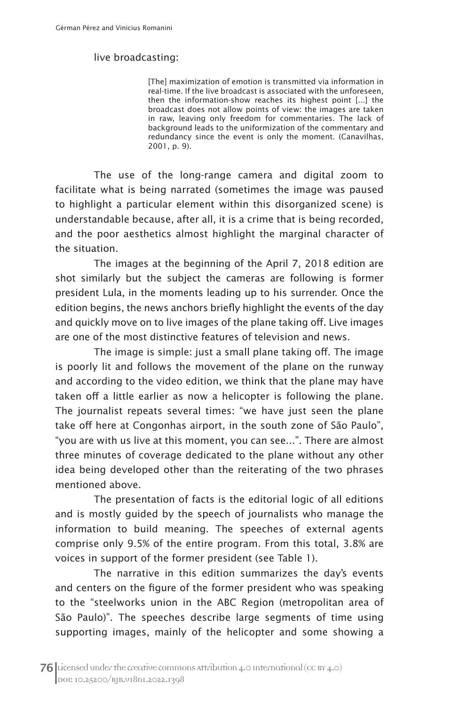#### live broadcasting:

[The] maximization of emotion is transmitted via information in real-time. If the live broadcast is associated with the unforeseen, then the information-show reaches its highest point [...] the broadcast does not allow points of view: the images are taken in raw, leaving only freedom for commentaries. The lack of background leads to the uniformization of the commentary and redundancy since the event is only the moment. (Canavilhas, 2001, p. 9).

The use of the long-range camera and digital zoom to facilitate what is being narrated (sometimes the image was paused to highlight a particular element within this disorganized scene) is understandable because, after all, it is a crime that is being recorded, and the poor aesthetics almost highlight the marginal character of the situation.

The images at the beginning of the April 7, 2018 edition are shot similarly but the subject the cameras are following is former president Lula, in the moments leading up to his surrender. Once the edition begins, the news anchors briefly highlight the events of the day and quickly move on to live images of the plane taking off. Live images are one of the most distinctive features of television and news.

The image is simple: just a small plane taking off. The image is poorly lit and follows the movement of the plane on the runway and according to the video edition, we think that the plane may have taken off a little earlier as now a helicopter is following the plane. The journalist repeats several times: "we have just seen the plane take off here at Congonhas airport, in the south zone of São Paulo", "you are with us live at this moment, you can see...". There are almost three minutes of coverage dedicated to the plane without any other idea being developed other than the reiterating of the two phrases mentioned above.

The presentation of facts is the editorial logic of all editions and is mostly guided by the speech of journalists who manage the information to build meaning. The speeches of external agents comprise only 9.5% of the entire program. From this total, 3.8% are voices in support of the former president (see Table 1).

The narrative in this edition summarizes the day's events and centers on the figure of the former president who was speaking to the "steelworks union in the ABC Region (metropolitan area of São Paulo)". The speeches describe large segments of time using supporting images, mainly of the helicopter and some showing a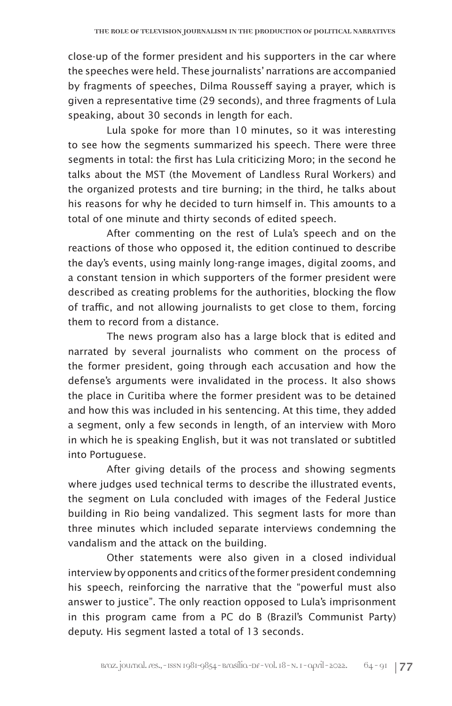close-up of the former president and his supporters in the car where the speeches were held. These journalists' narrations are accompanied by fragments of speeches, Dilma Rousseff saying a prayer, which is given a representative time (29 seconds), and three fragments of Lula speaking, about 30 seconds in length for each.

Lula spoke for more than 10 minutes, so it was interesting to see how the segments summarized his speech. There were three segments in total: the first has Lula criticizing Moro; in the second he talks about the MST (the Movement of Landless Rural Workers) and the organized protests and tire burning; in the third, he talks about his reasons for why he decided to turn himself in. This amounts to a total of one minute and thirty seconds of edited speech.

After commenting on the rest of Lula's speech and on the reactions of those who opposed it, the edition continued to describe the day's events, using mainly long-range images, digital zooms, and a constant tension in which supporters of the former president were described as creating problems for the authorities, blocking the flow of traffic, and not allowing journalists to get close to them, forcing them to record from a distance.

The news program also has a large block that is edited and narrated by several journalists who comment on the process of the former president, going through each accusation and how the defense's arguments were invalidated in the process. It also shows the place in Curitiba where the former president was to be detained and how this was included in his sentencing. At this time, they added a segment, only a few seconds in length, of an interview with Moro in which he is speaking English, but it was not translated or subtitled into Portuguese.

After giving details of the process and showing segments where judges used technical terms to describe the illustrated events, the segment on Lula concluded with images of the Federal Justice building in Rio being vandalized. This segment lasts for more than three minutes which included separate interviews condemning the vandalism and the attack on the building.

Other statements were also given in a closed individual interview by opponents and critics of the former president condemning his speech, reinforcing the narrative that the "powerful must also answer to justice". The only reaction opposed to Lula's imprisonment in this program came from a PC do B (Brazil's Communist Party) deputy. His segment lasted a total of 13 seconds.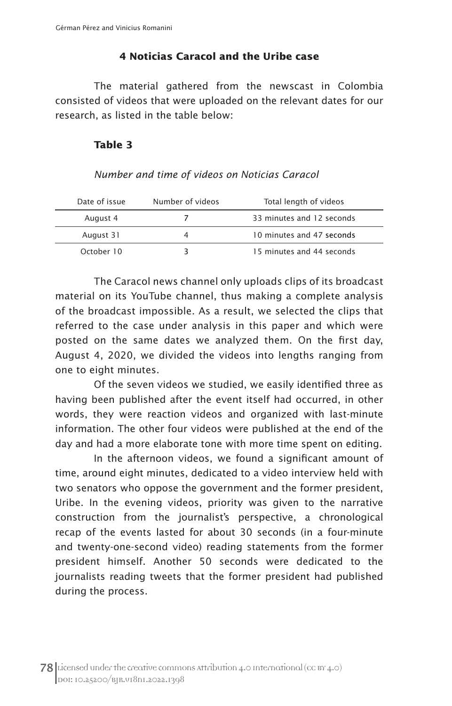#### **4 Noticias Caracol and the Uribe case**

The material gathered from the newscast in Colombia consisted of videos that were uploaded on the relevant dates for our research, as listed in the table below:

#### **Table 3**

#### *Number and time of videos on Noticias Caracol*

| Date of issue | Number of videos | Total length of videos    |
|---------------|------------------|---------------------------|
| August 4      |                  | 33 minutes and 12 seconds |
| August 31     |                  | 10 minutes and 47 seconds |
| October 10    |                  | 15 minutes and 44 seconds |

The Caracol news channel only uploads clips of its broadcast material on its YouTube channel, thus making a complete analysis of the broadcast impossible. As a result, we selected the clips that referred to the case under analysis in this paper and which were posted on the same dates we analyzed them. On the first day, August 4, 2020, we divided the videos into lengths ranging from one to eight minutes.

Of the seven videos we studied, we easily identified three as having been published after the event itself had occurred, in other words, they were reaction videos and organized with last-minute information. The other four videos were published at the end of the day and had a more elaborate tone with more time spent on editing.

In the afternoon videos, we found a significant amount of time, around eight minutes, dedicated to a video interview held with two senators who oppose the government and the former president, Uribe. In the evening videos, priority was given to the narrative construction from the journalist's perspective, a chronological recap of the events lasted for about 30 seconds (in a four-minute and twenty-one-second video) reading statements from the former president himself. Another 50 seconds were dedicated to the journalists reading tweets that the former president had published during the process.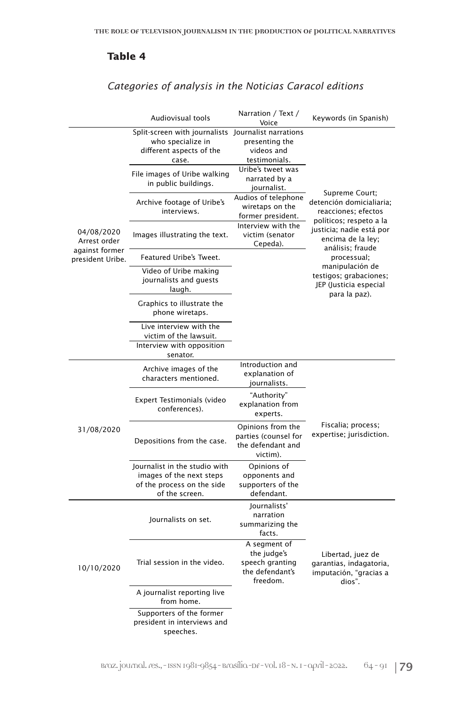#### **Table 4**

## *Categories of analysis in the Noticias Caracol editions*

|                                    | Audiovisual tools                                                                                                                                                     | Narration / Text /<br>Voice                                                                        | Keywords (in Spanish)                                                                                                                           |  |
|------------------------------------|-----------------------------------------------------------------------------------------------------------------------------------------------------------------------|----------------------------------------------------------------------------------------------------|-------------------------------------------------------------------------------------------------------------------------------------------------|--|
| 04/08/2020<br>Arrest order         | Split-screen with journalists Journalist narrations<br>who specialize in<br>different aspects of the<br>case.<br>File images of Uribe walking<br>in public buildings. | presenting the<br>videos and<br>testimonials.<br>Uribe's tweet was<br>narrated by a<br>journalist. | Supreme Court;                                                                                                                                  |  |
|                                    | Archive footage of Uribe's<br>interviews.                                                                                                                             | Audios of telephone<br>wiretaps on the<br>former president.                                        | detención domicialiaria;<br>reacciones; efectos<br>políticos; respeto a la<br>justicia; nadie está por<br>encima de la ley;<br>análisis; fraude |  |
|                                    | Images illustrating the text.                                                                                                                                         | Interview with the<br>victim (senator<br>Cepeda).                                                  |                                                                                                                                                 |  |
| against former<br>president Uribe. | Featured Uribe's Tweet.                                                                                                                                               |                                                                                                    | processual;                                                                                                                                     |  |
|                                    | Video of Uribe making<br>journalists and guests<br>laugh.                                                                                                             |                                                                                                    | manipulación de<br>testigos; grabaciones;<br>JEP (Justicia especial<br>para la paz).                                                            |  |
|                                    | Graphics to illustrate the<br>phone wiretaps.                                                                                                                         |                                                                                                    |                                                                                                                                                 |  |
|                                    | Live interview with the<br>victim of the lawsuit.<br>Interview with opposition<br>senator.                                                                            |                                                                                                    |                                                                                                                                                 |  |
| 31/08/2020                         | Archive images of the<br>characters mentioned.                                                                                                                        | Introduction and<br>explanation of<br>journalists.                                                 | Fiscalia; process;<br>expertise; jurisdiction.                                                                                                  |  |
|                                    | Expert Testimonials (video<br>conferences).                                                                                                                           | "Authority"<br>explanation from<br>experts.                                                        |                                                                                                                                                 |  |
|                                    | Depositions from the case.                                                                                                                                            | Opinions from the<br>parties (counsel for<br>the defendant and<br>victim).                         |                                                                                                                                                 |  |
|                                    | Journalist in the studio with<br>images of the next steps<br>of the process on the side<br>of the screen.                                                             | Opinions of<br>opponents and<br>supporters of the<br>defendant.                                    |                                                                                                                                                 |  |
| 10/10/2020                         | Journalists on set.                                                                                                                                                   | Journalists'<br>narration<br>summarizing the<br>facts.                                             |                                                                                                                                                 |  |
|                                    | Trial session in the video.                                                                                                                                           | A segment of<br>the judge's<br>speech granting<br>the defendant's<br>freedom.                      | Libertad, juez de<br>garantias, indagatoria,<br>imputación, "gracias a<br>dios".                                                                |  |
|                                    | A journalist reporting live<br>from home.                                                                                                                             |                                                                                                    |                                                                                                                                                 |  |
|                                    | Supporters of the former<br>president in interviews and<br>speeches.                                                                                                  |                                                                                                    |                                                                                                                                                 |  |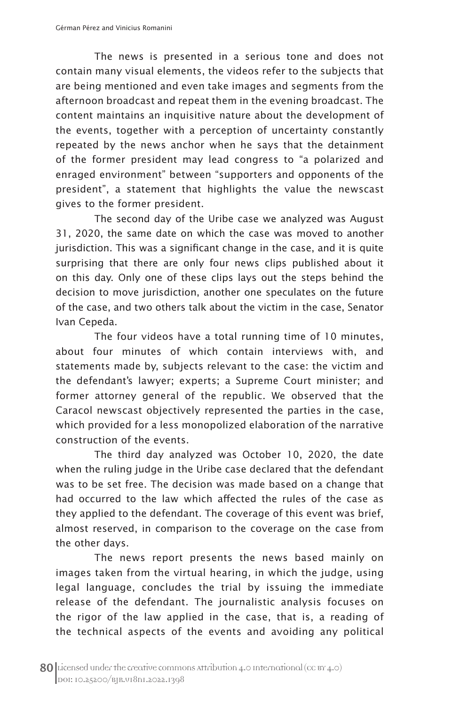The news is presented in a serious tone and does not contain many visual elements, the videos refer to the subjects that are being mentioned and even take images and segments from the afternoon broadcast and repeat them in the evening broadcast. The content maintains an inquisitive nature about the development of the events, together with a perception of uncertainty constantly repeated by the news anchor when he says that the detainment of the former president may lead congress to "a polarized and enraged environment" between "supporters and opponents of the president", a statement that highlights the value the newscast gives to the former president.

The second day of the Uribe case we analyzed was August 31, 2020, the same date on which the case was moved to another jurisdiction. This was a significant change in the case, and it is quite surprising that there are only four news clips published about it on this day. Only one of these clips lays out the steps behind the decision to move jurisdiction, another one speculates on the future of the case, and two others talk about the victim in the case, Senator Ivan Cepeda.

The four videos have a total running time of 10 minutes, about four minutes of which contain interviews with, and statements made by, subjects relevant to the case: the victim and the defendant's lawyer; experts; a Supreme Court minister; and former attorney general of the republic. We observed that the Caracol newscast objectively represented the parties in the case, which provided for a less monopolized elaboration of the narrative construction of the events.

The third day analyzed was October 10, 2020, the date when the ruling judge in the Uribe case declared that the defendant was to be set free. The decision was made based on a change that had occurred to the law which affected the rules of the case as they applied to the defendant. The coverage of this event was brief, almost reserved, in comparison to the coverage on the case from the other days.

The news report presents the news based mainly on images taken from the virtual hearing, in which the judge, using legal language, concludes the trial by issuing the immediate release of the defendant. The journalistic analysis focuses on the rigor of the law applied in the case, that is, a reading of the technical aspects of the events and avoiding any political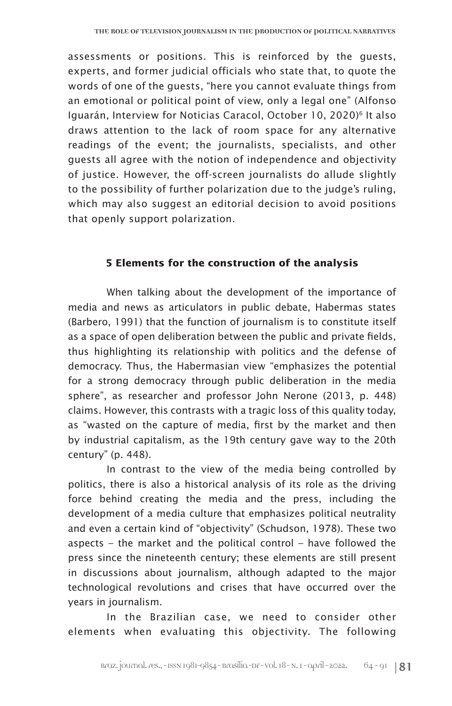assessments or positions. This is reinforced by the guests, experts, and former judicial officials who state that, to quote the words of one of the guests, "here you cannot evaluate things from an emotional or political point of view, only a legal one" (Alfonso Iguarán, Interview for Noticias Caracol, October 10, 2020)<sup>6</sup> It also draws attention to the lack of room space for any alternative readings of the event; the journalists, specialists, and other guests all agree with the notion of independence and objectivity of justice. However, the off-screen journalists do allude slightly to the possibility of further polarization due to the judge's ruling, which may also suggest an editorial decision to avoid positions that openly support polarization.

#### **5 Elements for the construction of the analysis**

When talking about the development of the importance of media and news as articulators in public debate, Habermas states (Barbero, 1991) that the function of journalism is to constitute itself as a space of open deliberation between the public and private fields, thus highlighting its relationship with politics and the defense of democracy. Thus, the Habermasian view "emphasizes the potential for a strong democracy through public deliberation in the media sphere", as researcher and professor John Nerone (2013, p. 448) claims. However, this contrasts with a tragic loss of this quality today, as "wasted on the capture of media, first by the market and then by industrial capitalism, as the 19th century gave way to the 20th century" (p. 448).

In contrast to the view of the media being controlled by politics, there is also a historical analysis of its role as the driving force behind creating the media and the press, including the development of a media culture that emphasizes political neutrality and even a certain kind of "objectivity" (Schudson, 1978). These two aspects – the market and the political control – have followed the press since the nineteenth century; these elements are still present in discussions about journalism, although adapted to the major technological revolutions and crises that have occurred over the years in journalism.

In the Brazilian case, we need to consider other elements when evaluating this objectivity. The following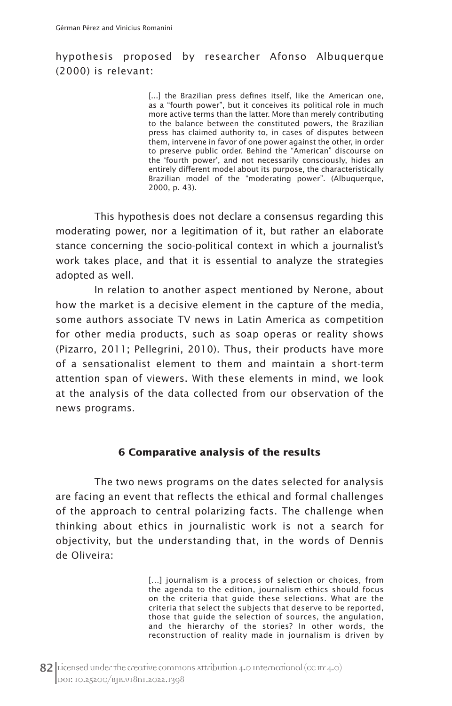## hypothesis proposed by researcher Afonso Albuquerque (2000) is relevant:

[...] the Brazilian press defines itself, like the American one, as a "fourth power", but it conceives its political role in much more active terms than the latter. More than merely contributing to the balance between the constituted powers, the Brazilian press has claimed authority to, in cases of disputes between them, intervene in favor of one power against the other, in order to preserve public order. Behind the "American" discourse on the 'fourth power', and not necessarily consciously, hides an entirely different model about its purpose, the characteristically Brazilian model of the "moderating power". (Albuquerque, 2000, p. 43).

This hypothesis does not declare a consensus regarding this moderating power, nor a legitimation of it, but rather an elaborate stance concerning the socio-political context in which a journalist's work takes place, and that it is essential to analyze the strategies adopted as well.

In relation to another aspect mentioned by Nerone, about how the market is a decisive element in the capture of the media, some authors associate TV news in Latin America as competition for other media products, such as soap operas or reality shows (Pizarro, 2011; Pellegrini, 2010). Thus, their products have more of a sensationalist element to them and maintain a short-term attention span of viewers. With these elements in mind, we look at the analysis of the data collected from our observation of the news programs.

#### **6 Comparative analysis of the results**

The two news programs on the dates selected for analysis are facing an event that reflects the ethical and formal challenges of the approach to central polarizing facts. The challenge when thinking about ethics in journalistic work is not a search for objectivity, but the understanding that, in the words of Dennis de Oliveira:

> [...] journalism is a process of selection or choices, from the agenda to the edition, journalism ethics should focus on the criteria that guide these selections. What are the criteria that select the subjects that deserve to be reported, those that guide the selection of sources, the angulation, and the hierarchy of the stories? In other words, the reconstruction of reality made in journalism is driven by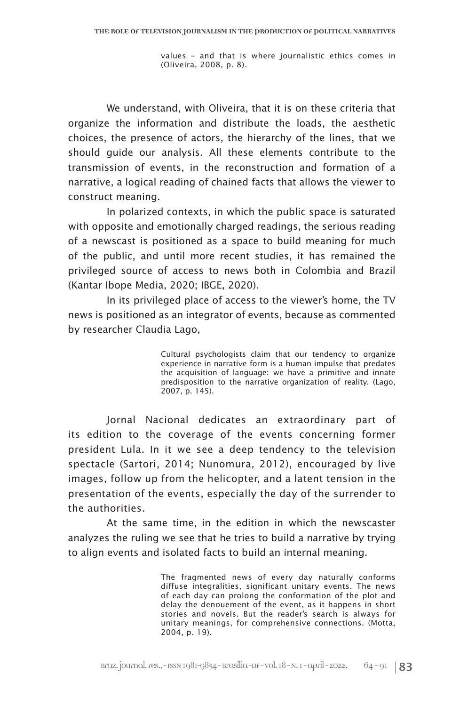values – and that is where journalistic ethics comes in (Oliveira, 2008, p. 8).

We understand, with Oliveira, that it is on these criteria that organize the information and distribute the loads, the aesthetic choices, the presence of actors, the hierarchy of the lines, that we should guide our analysis. All these elements contribute to the transmission of events, in the reconstruction and formation of a narrative, a logical reading of chained facts that allows the viewer to construct meaning.

In polarized contexts, in which the public space is saturated with opposite and emotionally charged readings, the serious reading of a newscast is positioned as a space to build meaning for much of the public, and until more recent studies, it has remained the privileged source of access to news both in Colombia and Brazil (Kantar Ibope Media, 2020; IBGE, 2020).

In its privileged place of access to the viewer's home, the TV news is positioned as an integrator of events, because as commented by researcher Claudia Lago,

> Cultural psychologists claim that our tendency to organize experience in narrative form is a human impulse that predates the acquisition of language: we have a primitive and innate predisposition to the narrative organization of reality. (Lago, 2007, p. 145).

Jornal Nacional dedicates an extraordinary part of its edition to the coverage of the events concerning former president Lula. In it we see a deep tendency to the television spectacle (Sartori, 2014; Nunomura, 2012), encouraged by live images, follow up from the helicopter, and a latent tension in the presentation of the events, especially the day of the surrender to the authorities.

At the same time, in the edition in which the newscaster analyzes the ruling we see that he tries to build a narrative by trying to align events and isolated facts to build an internal meaning.

> The fragmented news of every day naturally conforms diffuse integralities, significant unitary events. The news of each day can prolong the conformation of the plot and delay the denouement of the event, as it happens in short stories and novels. But the reader's search is always for unitary meanings, for comprehensive connections. (Motta, 2004, p. 19).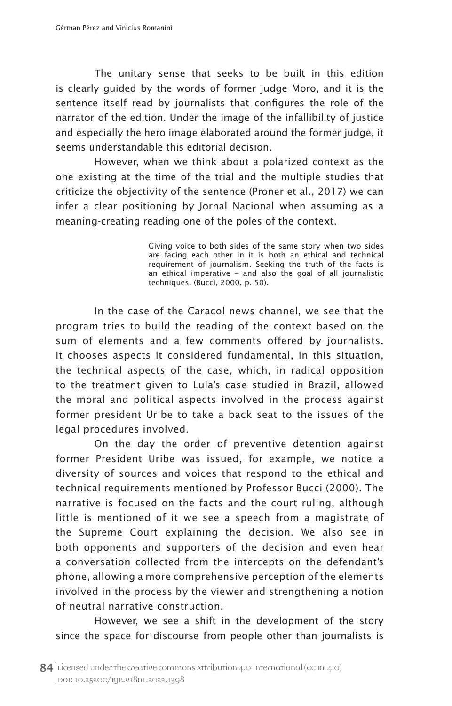The unitary sense that seeks to be built in this edition is clearly guided by the words of former judge Moro, and it is the sentence itself read by journalists that configures the role of the narrator of the edition. Under the image of the infallibility of justice and especially the hero image elaborated around the former judge, it seems understandable this editorial decision.

However, when we think about a polarized context as the one existing at the time of the trial and the multiple studies that criticize the objectivity of the sentence (Proner et al., 2017) we can infer a clear positioning by Jornal Nacional when assuming as a meaning-creating reading one of the poles of the context.

> Giving voice to both sides of the same story when two sides are facing each other in it is both an ethical and technical requirement of journalism. Seeking the truth of the facts is an ethical imperative – and also the goal of all journalistic techniques. (Bucci, 2000, p. 50).

In the case of the Caracol news channel, we see that the program tries to build the reading of the context based on the sum of elements and a few comments offered by journalists. It chooses aspects it considered fundamental, in this situation, the technical aspects of the case, which, in radical opposition to the treatment given to Lula's case studied in Brazil, allowed the moral and political aspects involved in the process against former president Uribe to take a back seat to the issues of the legal procedures involved.

On the day the order of preventive detention against former President Uribe was issued, for example, we notice a diversity of sources and voices that respond to the ethical and technical requirements mentioned by Professor Bucci (2000). The narrative is focused on the facts and the court ruling, although little is mentioned of it we see a speech from a magistrate of the Supreme Court explaining the decision. We also see in both opponents and supporters of the decision and even hear a conversation collected from the intercepts on the defendant's phone, allowing a more comprehensive perception of the elements involved in the process by the viewer and strengthening a notion of neutral narrative construction.

However, we see a shift in the development of the story since the space for discourse from people other than journalists is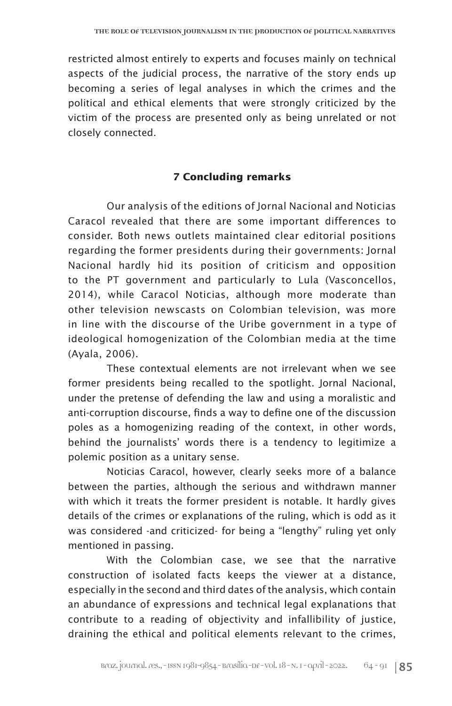restricted almost entirely to experts and focuses mainly on technical aspects of the judicial process, the narrative of the story ends up becoming a series of legal analyses in which the crimes and the political and ethical elements that were strongly criticized by the victim of the process are presented only as being unrelated or not closely connected.

#### **7 Concluding remarks**

Our analysis of the editions of Jornal Nacional and Noticias Caracol revealed that there are some important differences to consider. Both news outlets maintained clear editorial positions regarding the former presidents during their governments: Jornal Nacional hardly hid its position of criticism and opposition to the PT government and particularly to Lula (Vasconcellos, 2014), while Caracol Noticias, although more moderate than other television newscasts on Colombian television, was more in line with the discourse of the Uribe government in a type of ideological homogenization of the Colombian media at the time (Ayala, 2006).

These contextual elements are not irrelevant when we see former presidents being recalled to the spotlight. Jornal Nacional, under the pretense of defending the law and using a moralistic and anti-corruption discourse, finds a way to define one of the discussion poles as a homogenizing reading of the context, in other words, behind the journalists' words there is a tendency to legitimize a polemic position as a unitary sense.

Noticias Caracol, however, clearly seeks more of a balance between the parties, although the serious and withdrawn manner with which it treats the former president is notable. It hardly gives details of the crimes or explanations of the ruling, which is odd as it was considered -and criticized- for being a "lengthy" ruling yet only mentioned in passing.

With the Colombian case, we see that the narrative construction of isolated facts keeps the viewer at a distance, especially in the second and third dates of the analysis, which contain an abundance of expressions and technical legal explanations that contribute to a reading of objectivity and infallibility of justice, draining the ethical and political elements relevant to the crimes,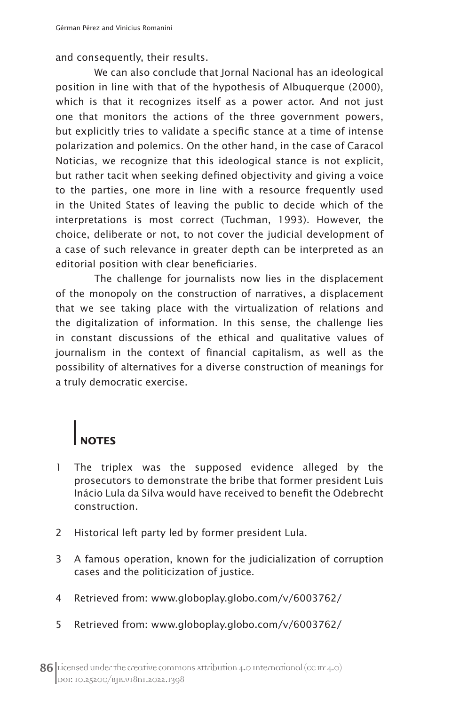and consequently, their results.

We can also conclude that Jornal Nacional has an ideological position in line with that of the hypothesis of Albuquerque (2000), which is that it recognizes itself as a power actor. And not just one that monitors the actions of the three government powers, but explicitly tries to validate a specific stance at a time of intense polarization and polemics. On the other hand, in the case of Caracol Noticias, we recognize that this ideological stance is not explicit, but rather tacit when seeking defined objectivity and giving a voice to the parties, one more in line with a resource frequently used in the United States of leaving the public to decide which of the interpretations is most correct (Tuchman, 1993). However, the choice, deliberate or not, to not cover the judicial development of a case of such relevance in greater depth can be interpreted as an editorial position with clear beneficiaries.

The challenge for journalists now lies in the displacement of the monopoly on the construction of narratives, a displacement that we see taking place with the virtualization of relations and the digitalization of information. In this sense, the challenge lies in constant discussions of the ethical and qualitative values of journalism in the context of financial capitalism, as well as the possibility of alternatives for a diverse construction of meanings for a truly democratic exercise.

## **NOTES**

- 1 The triplex was the supposed evidence alleged by the prosecutors to demonstrate the bribe that former president Luis Inácio Lula da Silva would have received to benefit the Odebrecht construction.
- 2 Historical left party led by former president Lula.
- 3 A famous operation, known for the judicialization of corruption cases and the politicization of justice.
- 4 Retrieved from: www.globoplay.globo.com/v/6003762/
- 5 Retrieved from: www.globoplay.globo.com/v/6003762/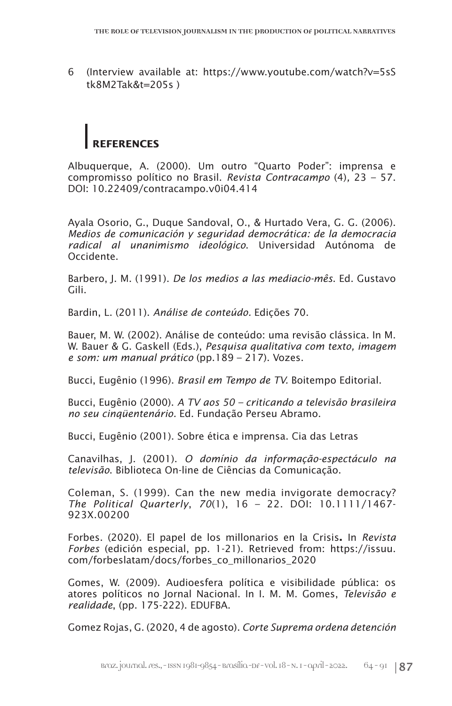6 (Interview available at: https://www.youtube.com/watch?v=5sS tk8M2Tak&t=205s )

# **REFERENCES**

Albuquerque, A. (2000). Um outro "Quarto Poder": imprensa e compromisso político no Brasil. *Revista Contracampo* (4)*,* 23 – 57. DOI: 10.22409/contracampo.v0i04.414

Ayala Osorio, G., Duque Sandoval, O., & Hurtado Vera, G. G. (2006). *Medios de comunicación y seguridad democrática: de la democracia radical al unanimismo ideológico*. Universidad Autónoma de Occidente.

Barbero, J. M. (1991). *De los medios a las mediacio-mês*. Ed. Gustavo Gili.

Bardin, L. (2011). *Análise de conteúdo.* Edições 70.

Bauer, M. W. (2002). Análise de conteúdo: uma revisão clássica. In M. W. Bauer & G. Gaskell (Eds.), *Pesquisa qualitativa com texto, imagem e som: um manual prático* (pp.189 – 217). Vozes.

Bucci, Eugênio (1996). *Brasil em Tempo de TV.* Boitempo Editorial.

Bucci, Eugênio (2000). *A TV aos 50 – criticando a televisão brasileira no seu cinqüentenário.* Ed. Fundação Perseu Abramo.

Bucci, Eugênio (2001). Sobre ética e imprensa. Cia das Letras

Canavilhas, J. (2001). *O domínio da informação-espectáculo na televisão*. Biblioteca On-line de Ciências da Comunicação.

Coleman, S. (1999). Can the new media invigorate democracy? *The Political Quarterly*, *70*(1), 16 – 22. DOI: 10.1111/1467- 923X.00200

Forbes. (2020). El papel de los millonarios en la Crisis**.** In *Revista Forbes* (edición especial, pp. 1-21). Retrieved from: https://issuu. com/forbeslatam/docs/forbes\_co\_millonarios\_2020

Gomes, W. (2009). Audioesfera política e visibilidade pública: os atores políticos no Jornal Nacional. In I. M. M. Gomes, *Televisão e realidade*, (pp. 175-222). EDUFBA.

Gomez Rojas, G. (2020, 4 de agosto). *Corte Suprema ordena detención*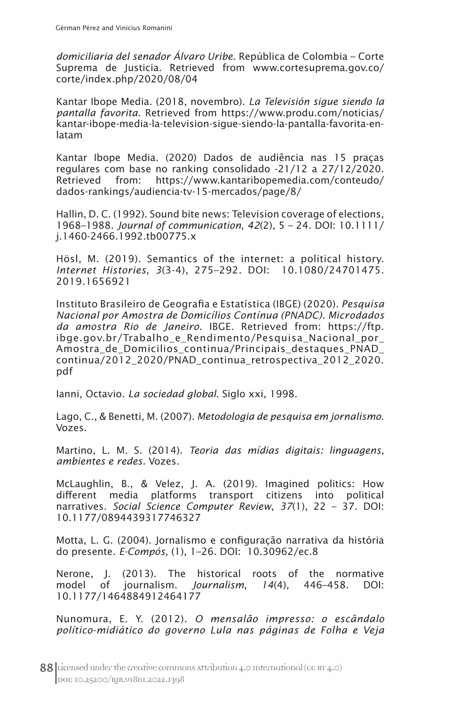*domiciliaria del senador Álvaro Uribe*. República de Colombia – Corte Suprema de Justicia. Retrieved from www.cortesuprema.gov.co/ corte/index.php/2020/08/04

Kantar Ibope Media. (2018, novembro). *La Televisión sigue siendo la pantalla favorita*. Retrieved from https://www.produ.com/noticias/ kantar-ibope-media-la-television-sigue-siendo-la-pantalla-favorita-enlatam

Kantar Ibope Media. (2020) Dados de audiência nas 15 praças regulares com base no ranking consolidado -21/12 a 27/12/2020. Retrieved from: https://www.kantaribopemedia.com/conteudo/ dados-rankings/audiencia-tv-15-mercados/page/8/

Hallin, D. C. (1992). Sound bite news: Television coverage of elections, 1968–1988. *Journal of communication*, *42*(2), 5 – 24. DOI: 10.1111/ j.1460-2466.1992.tb00775.x

Hösl, M. (2019). Semantics of the internet: a political history. *Internet Histories*, *3*(3-4), 275–292. DOI: 10.1080/24701475. 2019.1656921

Instituto Brasileiro de Geografia e Estatística (IBGE) (2020). *Pesquisa Nacional por Amostra de Domicílios Contínua (PNADC). Microdados da amostra Rio de Janeiro*. IBGE. Retrieved from: https://ftp. ibge.gov.br/Trabalho\_e\_Rendimento/Pesquisa\_Nacional\_por\_ Amostra de Domicilios continua/Principais destaques PNAD continua/2012\_2020/PNAD\_continua\_retrospectiva\_2012\_2020. pdf

Ianni, Octavio. *La sociedad global*. Siglo xxi, 1998.

Lago, C., & Benetti, M. (2007). *Metodologia de pesquisa em jornalismo*. Vozes.

Martino, L. M. S. (2014). *Teoria das mídias digitais: linguagens, ambientes e redes.* Vozes.

McLaughlin, B., & Velez, J. A. (2019). Imagined politics: How different media platforms transport citizens into political narratives. *Social Science Computer Review*, *37*(1), 22 – 37. DOI: 10.1177/0894439317746327

Motta, L. G. (2004). Jornalismo e configuração narrativa da história do presente. *E-Compós,* (1), 1–26. DOI: 10.30962/ec.8

Nerone, J. (2013). The historical roots of the normative model of journalism. *Journalism*, *14*(4), 446–458. DOI: 10.1177/1464884912464177

Nunomura, E. Y. (2012). *O mensalão impresso: o escândalo político-midiático do governo Lula nas páginas de Folha e Veja*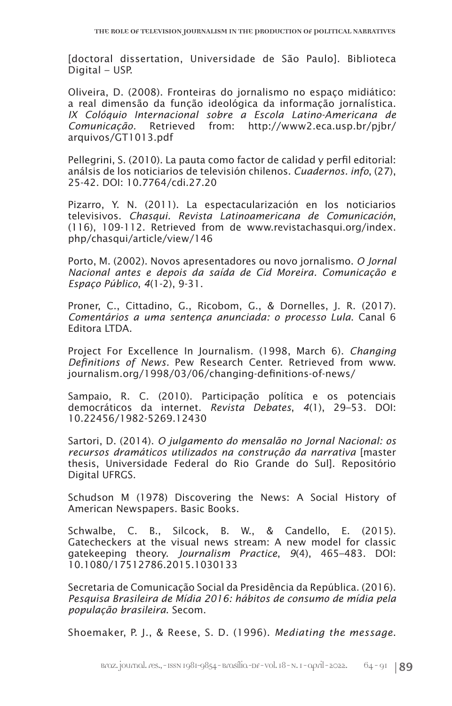[doctoral dissertation, Universidade de São Paulo]. Biblioteca Digital – USP.

Oliveira, D. (2008). Fronteiras do jornalismo no espaço midiático: a real dimensão da função ideológica da informação jornalística. *IX Colóquio Internacional sobre a Escola Latino-Americana de Comunicação.* Retrieved from: http://www2.eca.usp.br/pjbr/ arquivos/GT1013.pdf

Pellegrini, S. (2010). La pauta como factor de calidad y perfil editorial: análsis de los noticiarios de televisión chilenos. *Cuadernos. info*, (27), 25-42. DOI: 10.7764/cdi.27.20

Pizarro, Y. N. (2011). La espectacularización en los noticiarios televisivos. *Chasqui. Revista Latinoamericana de Comunicación*, (116), 109-112. Retrieved from de www.revistachasqui.org/index. php/chasqui/article/view/146

Porto, M. (2002). Novos apresentadores ou novo jornalismo. *O Jornal Nacional antes e depois da saída de Cid Moreira. Comunicação e Espaço Público*, *4*(1-2), 9-31.

Proner, C., Cittadino, G., Ricobom, G., & Dornelles, J. R. (2017). *Comentários a uma sentença anunciada: o processo Lula*. Canal 6 Editora LTDA.

Project For Excellence In Journalism. (1998, March 6). *Changing Definitions of News.* Pew Research Center. Retrieved from www. journalism.org/1998/03/06/changing-definitions-of-news/

Sampaio, R. C. (2010). Participação política e os potenciais democráticos da internet. *Revista Debates*, *4*(1), 29–53. DOI: 10.22456/1982-5269.12430

Sartori, D. (2014). *O julgamento do mensalão no Jornal Nacional: os recursos dramáticos utilizados na construção da narrativa* [master thesis, Universidade Federal do Rio Grande do Sul]. Repositório Digital UFRGS.

Schudson M (1978) Discovering the News: A Social History of American Newspapers. Basic Books.

Schwalbe, C. B., Silcock, B. W., & Candello, E. (2015). Gatecheckers at the visual news stream: A new model for classic gatekeeping theory. *Journalism Practice*, *9*(4), 465–483. DOI: 10.1080/17512786.2015.1030133

Secretaria de Comunicação Social da Presidência da República. (2016). *Pesquisa Brasileira de Mídia 2016: hábitos de consumo de mídia pela população brasileira*. Secom.

Shoemaker, P. J., & Reese, S. D. (1996). *Mediating the message*.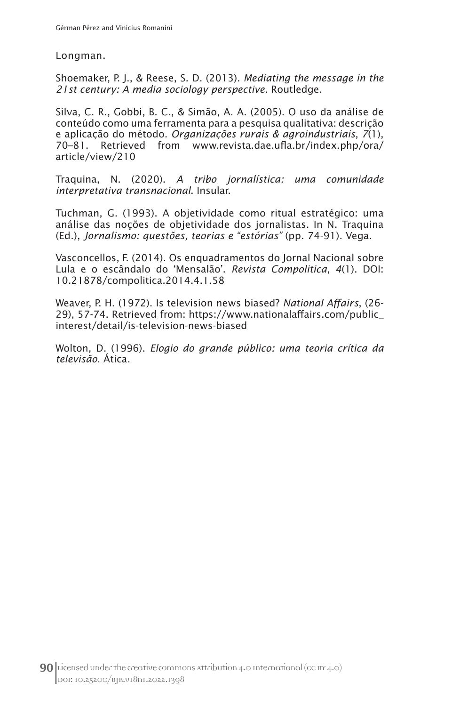Longman.

Shoemaker, P. J., & Reese, S. D. (2013). *Mediating the message in the 21st century: A media sociology perspective*. Routledge.

Silva, C. R., Gobbi, B. C., & Simão, A. A. (2005). O uso da análise de conteúdo como uma ferramenta para a pesquisa qualitativa: descrição e aplicação do método. *Organizações rurais & agroindustriais*, *7*(1), 70–81. Retrieved from www.revista.dae.ufla.br/index.php/ora/ article/view/210

Traquina, N. (2020). *A tribo jornalística: uma comunidade interpretativa transnacional*. Insular.

Tuchman, G. (1993). A objetividade como ritual estratégico: uma análise das noções de objetividade dos jornalistas. In N. Traquina (Ed.), *Jornalismo: questões, teorias e "estórias"* (pp. 74-91). Vega.

Vasconcellos, F. (2014). Os enquadramentos do Jornal Nacional sobre Lula e o escândalo do 'Mensalão'. *Revista Compolitica*, *4*(1). DOI: 10.21878/compolitica.2014.4.1.58

Weaver, P. H. (1972). Is television news biased? *National Affairs*, (26- 29), 57-74. Retrieved from: https://www.nationalaffairs.com/public\_ interest/detail/is-television-news-biased

Wolton, D. (1996). *Elogio do grande público: uma teoria crítica da televisão*. Ática.